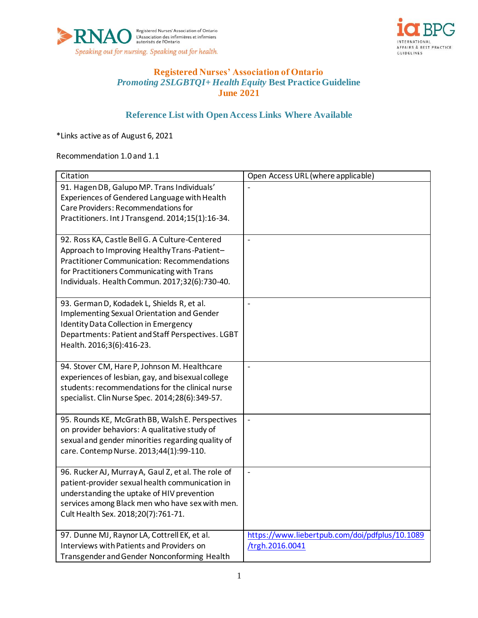



# **Registered Nurses' Association of Ontario** *Promoting 2SLGBTQI+ Health Equity* **Best Practice Guideline June 2021**

## **Reference List with Open Access Links Where Available**

\*Links active as of August 6, 2021

Recommendation 1.0 and 1.1

| Citation                                            | Open Access URL (where applicable)             |
|-----------------------------------------------------|------------------------------------------------|
| 91. Hagen DB, Galupo MP. Trans Individuals'         |                                                |
| Experiences of Gendered Language with Health        |                                                |
| Care Providers: Recommendations for                 |                                                |
| Practitioners. Int J Transgend. 2014;15(1):16-34.   |                                                |
| 92. Ross KA, Castle Bell G. A Culture-Centered      | $\frac{1}{2}$                                  |
| Approach to Improving Healthy Trans-Patient-        |                                                |
| <b>Practitioner Communication: Recommendations</b>  |                                                |
| for Practitioners Communicating with Trans          |                                                |
| Individuals. Health Commun. 2017;32(6):730-40.      |                                                |
| 93. German D, Kodadek L, Shields R, et al.          | $\frac{1}{2}$                                  |
| <b>Implementing Sexual Orientation and Gender</b>   |                                                |
| <b>Identity Data Collection in Emergency</b>        |                                                |
| Departments: Patient and Staff Perspectives. LGBT   |                                                |
| Health. 2016;3(6):416-23.                           |                                                |
| 94. Stover CM, Hare P, Johnson M. Healthcare        | $\overline{a}$                                 |
| experiences of lesbian, gay, and bisexual college   |                                                |
| students: recommendations for the clinical nurse    |                                                |
| specialist. Clin Nurse Spec. 2014;28(6):349-57.     |                                                |
| 95. Rounds KE, McGrath BB, Walsh E. Perspectives    | $\overline{\phantom{a}}$                       |
| on provider behaviors: A qualitative study of       |                                                |
| sexual and gender minorities regarding quality of   |                                                |
| care. Contemp Nurse. 2013;44(1):99-110.             |                                                |
| 96. Rucker AJ, Murray A, Gaul Z, et al. The role of | $\overline{a}$                                 |
| patient-provider sexual health communication in     |                                                |
| understanding the uptake of HIV prevention          |                                                |
| services among Black men who have sex with men.     |                                                |
| Cult Health Sex. 2018;20(7):761-71.                 |                                                |
| 97. Dunne MJ, Raynor LA, Cottrell EK, et al.        | https://www.liebertpub.com/doi/pdfplus/10.1089 |
| Interviews with Patients and Providers on           | /trgh.2016.0041                                |
| Transgender and Gender Nonconforming Health         |                                                |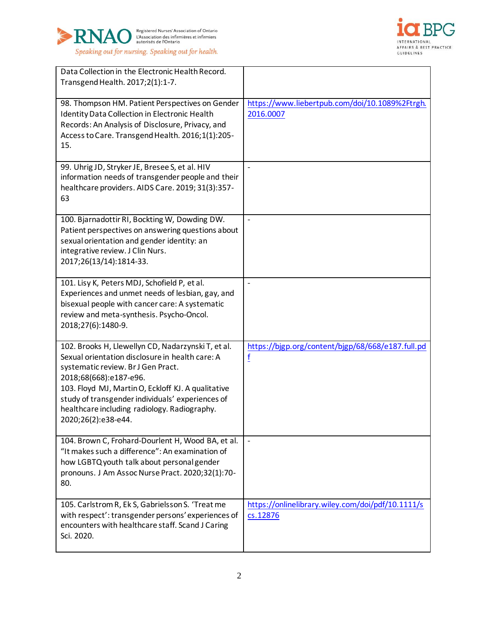



| Data Collection in the Electronic Health Record.<br>Transgend Health. 2017;2(1):1-7.                                                                                                                                                                                                                                                                   |                                                               |
|--------------------------------------------------------------------------------------------------------------------------------------------------------------------------------------------------------------------------------------------------------------------------------------------------------------------------------------------------------|---------------------------------------------------------------|
| 98. Thompson HM. Patient Perspectives on Gender<br>Identity Data Collection in Electronic Health<br>Records: An Analysis of Disclosure, Privacy, and<br>Access to Care. Transgend Health. 2016;1(1):205-<br>15.                                                                                                                                        | https://www.liebertpub.com/doi/10.1089%2Ftrgh.<br>2016.0007   |
| 99. Uhrig JD, Stryker JE, Bresee S, et al. HIV<br>information needs of transgender people and their<br>healthcare providers. AIDS Care. 2019; 31(3):357-<br>63                                                                                                                                                                                         |                                                               |
| 100. Bjarnadottir RI, Bockting W, Dowding DW.<br>Patient perspectives on answering questions about<br>sexual orientation and gender identity: an<br>integrative review. J Clin Nurs.<br>2017;26(13/14):1814-33.                                                                                                                                        | $\overline{\phantom{a}}$                                      |
| 101. Lisy K, Peters MDJ, Schofield P, et al.<br>Experiences and unmet needs of lesbian, gay, and<br>bisexual people with cancer care: A systematic<br>review and meta-synthesis. Psycho-Oncol.<br>2018;27(6):1480-9.                                                                                                                                   | $\overline{\phantom{a}}$                                      |
| 102. Brooks H, Llewellyn CD, Nadarzynski T, et al.<br>Sexual orientation disclosure in health care: A<br>systematic review. Br J Gen Pract.<br>2018;68(668):e187-e96.<br>103. Floyd MJ, Martin O, Eckloff KJ. A qualitative<br>study of transgender individuals' experiences of<br>healthcare including radiology. Radiography.<br>2020;26(2):e38-e44. | https://bjgp.org/content/bjgp/68/668/e187.full.pd<br>f        |
| 104. Brown C, Frohard-Dourlent H, Wood BA, et al.<br>"It makes such a difference": An examination of<br>how LGBTQ youth talk about personal gender<br>pronouns. J Am Assoc Nurse Pract. 2020;32(1):70-<br>80.                                                                                                                                          | $\blacksquare$                                                |
| 105. Carlstrom R, Ek S, Gabrielsson S. 'Treat me<br>with respect': transgender persons' experiences of<br>encounters with healthcare staff. Scand J Caring<br>Sci. 2020.                                                                                                                                                                               | https://onlinelibrary.wiley.com/doi/pdf/10.1111/s<br>cs.12876 |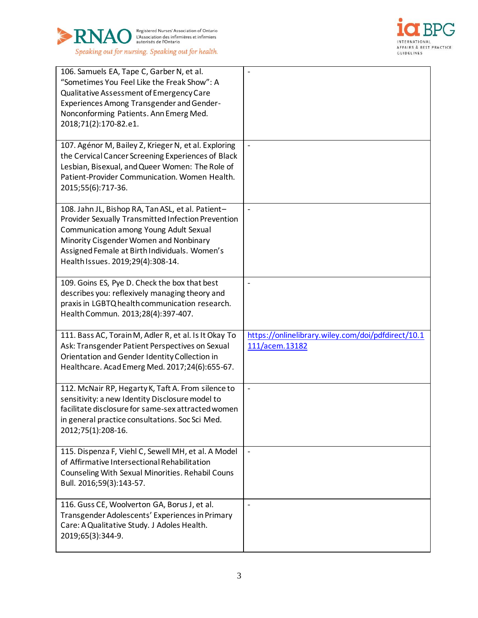



| 106. Samuels EA, Tape C, Garber N, et al.<br>"Sometimes You Feel Like the Freak Show": A<br>Qualitative Assessment of Emergency Care<br><b>Experiences Among Transgender and Gender-</b><br>Nonconforming Patients. Ann Emerg Med.<br>2018;71(2):170-82.e1.                       |                                                                      |
|-----------------------------------------------------------------------------------------------------------------------------------------------------------------------------------------------------------------------------------------------------------------------------------|----------------------------------------------------------------------|
| 107. Agénor M, Bailey Z, Krieger N, et al. Exploring<br>the Cervical Cancer Screening Experiences of Black<br>Lesbian, Bisexual, and Queer Women: The Role of<br>Patient-Provider Communication. Women Health.<br>2015;55(6):717-36.                                              | $\frac{1}{2}$                                                        |
| 108. Jahn JL, Bishop RA, Tan ASL, et al. Patient-<br>Provider Sexually Transmitted Infection Prevention<br>Communication among Young Adult Sexual<br>Minority Cisgender Women and Nonbinary<br>Assigned Female at Birth Individuals. Women's<br>Health Issues. 2019;29(4):308-14. | $\blacksquare$                                                       |
| 109. Goins ES, Pye D. Check the box that best<br>describes you: reflexively managing theory and<br>praxis in LGBTQ health communication research.<br>Health Commun. 2013;28(4):397-407.                                                                                           |                                                                      |
| 111. Bass AC, Torain M, Adler R, et al. Is It Okay To<br>Ask: Transgender Patient Perspectives on Sexual<br>Orientation and Gender Identity Collection in<br>Healthcare. Acad Emerg Med. 2017;24(6):655-67.                                                                       | https://onlinelibrary.wiley.com/doi/pdfdirect/10.1<br>111/acem.13182 |
| 112. McNair RP, Hegarty K, Taft A. From silence to<br>sensitivity: a new Identity Disclosure model to<br>facilitate disclosure for same-sex attracted women<br>in general practice consultations. Soc Sci Med.<br>2012;75(1):208-16.                                              | $\qquad \qquad \Box$                                                 |
| 115. Dispenza F, Viehl C, Sewell MH, et al. A Model<br>of Affirmative Intersectional Rehabilitation<br>Counseling With Sexual Minorities. Rehabil Couns<br>Bull. 2016;59(3):143-57.                                                                                               |                                                                      |
|                                                                                                                                                                                                                                                                                   |                                                                      |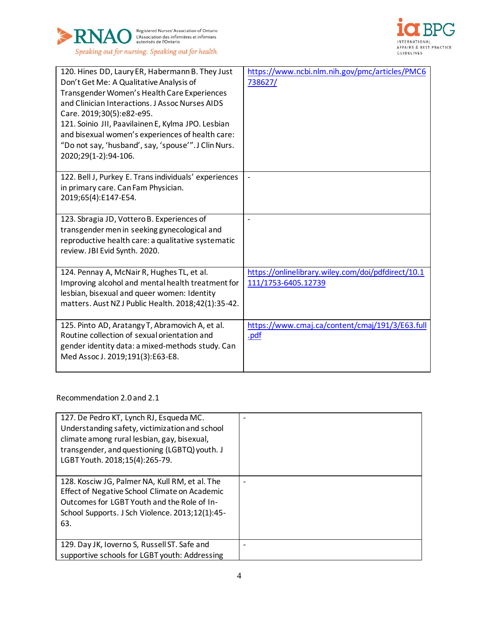



| 120. Hines DD, Laury ER, Habermann B. They Just<br>Don't Get Me: A Qualitative Analysis of<br>Transgender Women's Health Care Experiences<br>and Clinician Interactions. J Assoc Nurses AIDS<br>Care. 2019;30(5):e82-e95.<br>121. Soinio JII, Paavilainen E, Kylma JPO. Lesbian<br>and bisexual women's experiences of health care:<br>"Do not say, 'husband', say, 'spouse'". J Clin Nurs.<br>2020;29(1-2):94-106. | https://www.ncbi.nlm.nih.gov/pmc/articles/PMC6<br>738627/                 |
|---------------------------------------------------------------------------------------------------------------------------------------------------------------------------------------------------------------------------------------------------------------------------------------------------------------------------------------------------------------------------------------------------------------------|---------------------------------------------------------------------------|
| 122. Bell J, Purkey E. Trans individuals' experiences<br>in primary care. Can Fam Physician.<br>2019;65(4):E147-E54.                                                                                                                                                                                                                                                                                                |                                                                           |
| 123. Sbragia JD, Vottero B. Experiences of<br>transgender men in seeking gynecological and<br>reproductive health care: a qualitative systematic<br>review. JBI Evid Synth. 2020.                                                                                                                                                                                                                                   | $\qquad \qquad \blacksquare$                                              |
| 124. Pennay A, McNair R, Hughes TL, et al.<br>Improving alcohol and mental health treatment for<br>lesbian, bisexual and queer women: Identity<br>matters. Aust NZ J Public Health. 2018;42(1):35-42.                                                                                                                                                                                                               | https://onlinelibrary.wiley.com/doi/pdfdirect/10.1<br>111/1753-6405.12739 |
| 125. Pinto AD, Aratangy T, Abramovich A, et al.<br>Routine collection of sexual orientation and<br>gender identity data: a mixed-methods study. Can<br>Med Assoc J. 2019;191(3):E63-E8.                                                                                                                                                                                                                             | https://www.cmaj.ca/content/cmaj/191/3/E63.full<br><u>.pdf</u>            |

Recommendation 2.0 and 2.1

| 127. De Pedro KT, Lynch RJ, Esqueda MC.<br>Understanding safety, victimization and school<br>climate among rural lesbian, gay, bisexual,<br>transgender, and questioning (LGBTQ) youth. J<br>LGBT Youth. 2018;15(4):265-79. |  |
|-----------------------------------------------------------------------------------------------------------------------------------------------------------------------------------------------------------------------------|--|
| 128. Kosciw JG, Palmer NA, Kull RM, et al. The<br>Effect of Negative School Climate on Academic<br>Outcomes for LGBT Youth and the Role of In-<br>School Supports. J Sch Violence. 2013;12(1):45-<br>63.                    |  |
| 129. Day JK, Ioverno S, Russell ST. Safe and<br>supportive schools for LGBT youth: Addressing                                                                                                                               |  |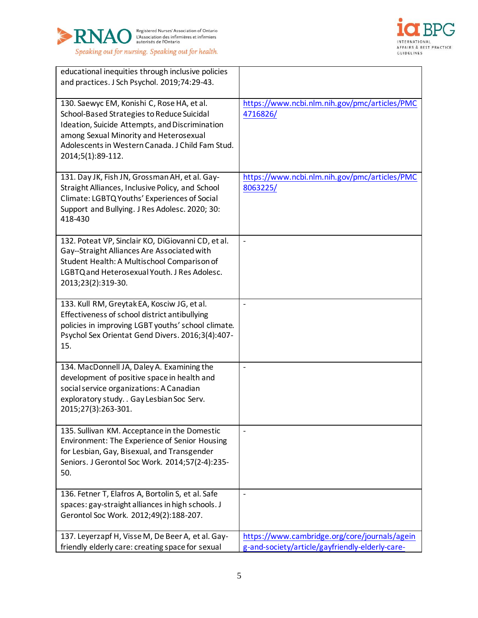



| educational inequities through inclusive policies<br>and practices. J Sch Psychol. 2019;74:29-43.                                                                                                                                                             |                                                                                                  |
|---------------------------------------------------------------------------------------------------------------------------------------------------------------------------------------------------------------------------------------------------------------|--------------------------------------------------------------------------------------------------|
| 130. Saewyc EM, Konishi C, Rose HA, et al.<br>School-Based Strategies to Reduce Suicidal<br>Ideation, Suicide Attempts, and Discrimination<br>among Sexual Minority and Heterosexual<br>Adolescents in Western Canada. J Child Fam Stud.<br>2014;5(1):89-112. | https://www.ncbi.nlm.nih.gov/pmc/articles/PMC<br>4716826/                                        |
| 131. Day JK, Fish JN, Grossman AH, et al. Gay-<br>Straight Alliances, Inclusive Policy, and School<br>Climate: LGBTQ Youths' Experiences of Social<br>Support and Bullying. J Res Adolesc. 2020; 30:<br>418-430                                               | https://www.ncbi.nlm.nih.gov/pmc/articles/PMC<br>8063225/                                        |
| 132. Poteat VP, Sinclair KO, DiGiovanni CD, et al.<br>Gay--Straight Alliances Are Associated with<br>Student Health: A Multischool Comparison of<br>LGBTQ and Heterosexual Youth. J Res Adolesc.<br>2013;23(2):319-30.                                        | $\overline{a}$                                                                                   |
| 133. Kull RM, Greytak EA, Kosciw JG, et al.<br>Effectiveness of school district antibullying<br>policies in improving LGBT youths' school climate.<br>Psychol Sex Orientat Gend Divers. 2016;3(4):407-<br>15.                                                 |                                                                                                  |
| 134. MacDonnell JA, Daley A. Examining the<br>development of positive space in health and<br>social service organizations: A Canadian<br>exploratory study. . Gay Lesbian Soc Serv.<br>2015;27(3):263-301.                                                    | $\overline{\phantom{0}}$                                                                         |
| 135. Sullivan KM. Acceptance in the Domestic<br>Environment: The Experience of Senior Housing<br>for Lesbian, Gay, Bisexual, and Transgender<br>Seniors. J Gerontol Soc Work. 2014;57(2-4):235-<br>50.                                                        | $\overline{a}$                                                                                   |
| 136. Fetner T, Elafros A, Bortolin S, et al. Safe<br>spaces: gay-straight alliances in high schools. J<br>Gerontol Soc Work. 2012;49(2):188-207.                                                                                                              | $\overline{\phantom{0}}$                                                                         |
| 137. Leyerzapf H, Visse M, De Beer A, et al. Gay-<br>friendly elderly care: creating space for sexual                                                                                                                                                         | https://www.cambridge.org/core/journals/agein<br>g-and-society/article/gayfriendly-elderly-care- |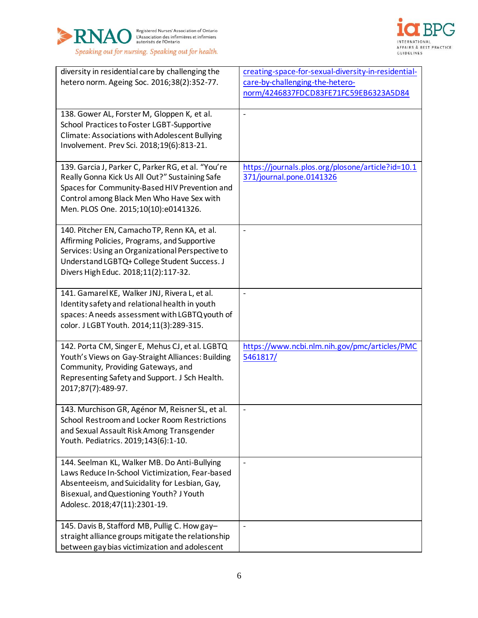



| diversity in residential care by challenging the                                                 | creating-space-for-sexual-diversity-in-residential- |
|--------------------------------------------------------------------------------------------------|-----------------------------------------------------|
| hetero norm. Ageing Soc. 2016;38(2):352-77.                                                      | care-by-challenging-the-hetero-                     |
|                                                                                                  | norm/4246837FDCD83FE71FC59EB6323A5D84               |
|                                                                                                  |                                                     |
| 138. Gower AL, Forster M, Gloppen K, et al.                                                      | $\qquad \qquad -$                                   |
| School Practices to Foster LGBT-Supportive                                                       |                                                     |
| Climate: Associations with Adolescent Bullying                                                   |                                                     |
| Involvement. Prev Sci. 2018;19(6):813-21.                                                        |                                                     |
|                                                                                                  |                                                     |
| 139. Garcia J, Parker C, Parker RG, et al. "You're                                               | https://journals.plos.org/plosone/article?id=10.1   |
| Really Gonna Kick Us All Out?" Sustaining Safe                                                   | 371/journal.pone.0141326                            |
| Spaces for Community-Based HIV Prevention and                                                    |                                                     |
| Control among Black Men Who Have Sex with                                                        |                                                     |
| Men. PLOS One. 2015;10(10):e0141326.                                                             |                                                     |
|                                                                                                  |                                                     |
| 140. Pitcher EN, Camacho TP, Renn KA, et al.                                                     | $\overline{\phantom{0}}$                            |
| Affirming Policies, Programs, and Supportive                                                     |                                                     |
| Services: Using an Organizational Perspective to<br>Understand LGBTQ+ College Student Success. J |                                                     |
| Divers High Educ. 2018;11(2):117-32.                                                             |                                                     |
|                                                                                                  |                                                     |
| 141. Gamarel KE, Walker JNJ, Rivera L, et al.                                                    | $\frac{1}{2}$                                       |
| Identity safety and relational health in youth                                                   |                                                     |
| spaces: A needs assessment with LGBTQ youth of                                                   |                                                     |
| color. J LGBT Youth. 2014;11(3):289-315.                                                         |                                                     |
|                                                                                                  |                                                     |
| 142. Porta CM, Singer E, Mehus CJ, et al. LGBTQ                                                  | https://www.ncbi.nlm.nih.gov/pmc/articles/PMC       |
| Youth's Views on Gay-Straight Alliances: Building                                                | 5461817/                                            |
| Community, Providing Gateways, and                                                               |                                                     |
| Representing Safety and Support. J Sch Health.                                                   |                                                     |
| 2017;87(7):489-97.                                                                               |                                                     |
| 143. Murchison GR, Agénor M, Reisner SL, et al.                                                  | $\qquad \qquad \blacksquare$                        |
| School Restroom and Locker Room Restrictions                                                     |                                                     |
| and Sexual Assault Risk Among Transgender                                                        |                                                     |
| Youth. Pediatrics. 2019;143(6):1-10.                                                             |                                                     |
|                                                                                                  |                                                     |
| 144. Seelman KL, Walker MB. Do Anti-Bullying                                                     | $\blacksquare$                                      |
| Laws Reduce In-School Victimization, Fear-based                                                  |                                                     |
| Absenteeism, and Suicidality for Lesbian, Gay,                                                   |                                                     |
| Bisexual, and Questioning Youth? J Youth                                                         |                                                     |
| Adolesc. 2018;47(11):2301-19.                                                                    |                                                     |
| 145. Davis B, Stafford MB, Pullig C. How gay-                                                    | $\qquad \qquad \blacksquare$                        |
| straight alliance groups mitigate the relationship                                               |                                                     |
| between gay bias victimization and adolescent                                                    |                                                     |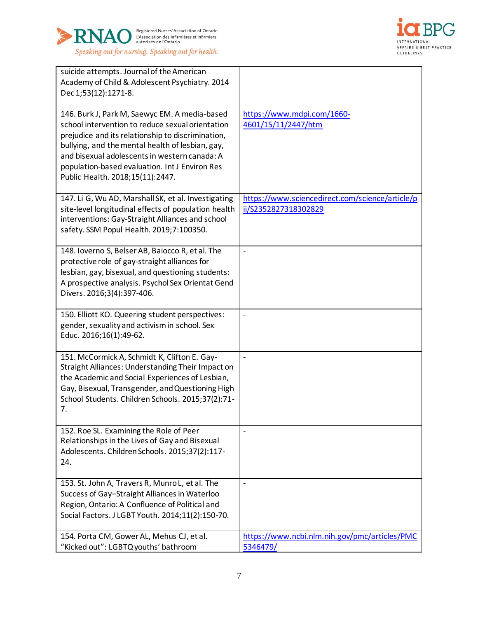



| suicide attempts. Journal of the American<br>Academy of Child & Adolescent Psychiatry. 2014<br>Dec 1;53(12):1271-8.                                                                                                                                                                                                                               |                                                                         |
|---------------------------------------------------------------------------------------------------------------------------------------------------------------------------------------------------------------------------------------------------------------------------------------------------------------------------------------------------|-------------------------------------------------------------------------|
| 146. Burk J, Park M, Saewyc EM. A media-based<br>school intervention to reduce sexual orientation<br>prejudice and its relationship to discrimination,<br>bullying, and the mental health of lesbian, gay,<br>and bisexual adolescents in western canada: A<br>population-based evaluation. Int J Environ Res<br>Public Health. 2018;15(11):2447. | https://www.mdpi.com/1660-<br>4601/15/11/2447/htm                       |
| 147. Li G, Wu AD, Marshall SK, et al. Investigating<br>site-level longitudinal effects of population health<br>interventions: Gay-Straight Alliances and school<br>safety. SSM Popul Health. 2019;7:100350.                                                                                                                                       | https://www.sciencedirect.com/science/article/p<br>ii/S2352827318302829 |
| 148. Ioverno S, Belser AB, Baiocco R, et al. The<br>protective role of gay-straight alliances for<br>lesbian, gay, bisexual, and questioning students:<br>A prospective analysis. Psychol Sex Orientat Gend<br>Divers. 2016;3(4):397-406.                                                                                                         | $\overline{\phantom{m}}$                                                |
| 150. Elliott KO. Queering student perspectives:<br>gender, sexuality and activism in school. Sex<br>Educ. 2016;16(1):49-62.                                                                                                                                                                                                                       | $\qquad \qquad \blacksquare$                                            |
| 151. McCormick A, Schmidt K, Clifton E. Gay-<br>Straight Alliances: Understanding Their Impact on<br>the Academic and Social Experiences of Lesbian,<br>Gay, Bisexual, Transgender, and Questioning High<br>School Students. Children Schools. 2015;37(2):71-<br>7.                                                                               | $\blacksquare$                                                          |
| 152. Roe SL. Examining the Role of Peer<br>Relationships in the Lives of Gay and Bisexual<br>Adolescents. Children Schools. 2015;37(2):117-<br>24.                                                                                                                                                                                                | $\overline{a}$                                                          |
| 153. St. John A, Travers R, Munro L, et al. The<br>Success of Gay-Straight Alliances in Waterloo<br>Region, Ontario: A Confluence of Political and<br>Social Factors. J LGBT Youth. 2014;11(2):150-70.                                                                                                                                            | $\qquad \qquad \blacksquare$                                            |
| 154. Porta CM, Gower AL, Mehus CJ, et al.<br>"Kicked out": LGBTQ youths' bathroom                                                                                                                                                                                                                                                                 | https://www.ncbi.nlm.nih.gov/pmc/articles/PMC<br>5346479/               |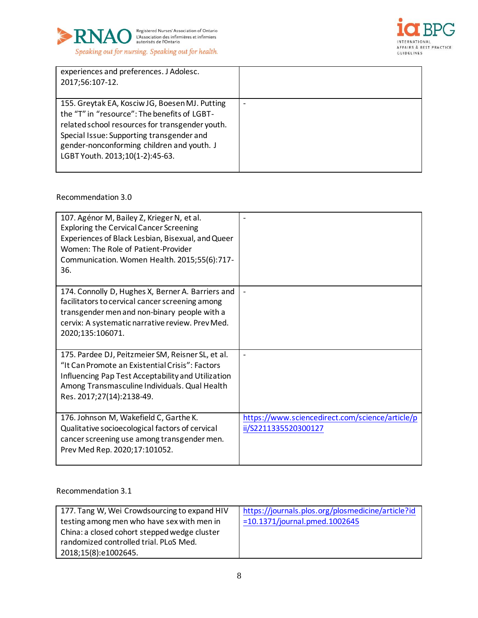



| experiences and preferences. J Adolesc.<br>2017;56:107-12.                                                                                                                                                                                                                      |   |
|---------------------------------------------------------------------------------------------------------------------------------------------------------------------------------------------------------------------------------------------------------------------------------|---|
| 155. Greytak EA, Kosciw JG, Boesen MJ. Putting<br>the "T" in "resource": The benefits of LGBT-<br>related school resources for transgender youth.<br>Special Issue: Supporting transgender and<br>gender-nonconforming children and youth. J<br>LGBT Youth. 2013;10(1-2):45-63. | ٠ |

#### Recommendation 3.0

| 107. Agénor M, Bailey Z, Krieger N, et al.<br><b>Exploring the Cervical Cancer Screening</b><br>Experiences of Black Lesbian, Bisexual, and Queer<br>Women: The Role of Patient-Provider<br>Communication. Women Health. 2015;55(6):717-<br>36. |                                                                         |
|-------------------------------------------------------------------------------------------------------------------------------------------------------------------------------------------------------------------------------------------------|-------------------------------------------------------------------------|
| 174. Connolly D, Hughes X, Berner A. Barriers and<br>facilitators to cervical cancer screening among<br>transgender men and non-binary people with a<br>cervix: A systematic narrative review. Prev Med.<br>2020;135:106071.                    |                                                                         |
| 175. Pardee DJ, Peitzmeier SM, Reisner SL, et al.<br>"It Can Promote an Existential Crisis": Factors<br>Influencing Pap Test Acceptability and Utilization<br>Among Transmasculine Individuals. Qual Health<br>Res. 2017;27(14):2138-49.        | $\overline{\phantom{a}}$                                                |
| 176. Johnson M, Wakefield C, Garthe K.<br>Qualitative socioecological factors of cervical<br>cancer screening use among transgender men.<br>Prev Med Rep. 2020;17:101052.                                                                       | https://www.sciencedirect.com/science/article/p<br>ii/S2211335520300127 |

## Recommendation 3.1

| 177. Tang W, Wei Crowdsourcing to expand HIV | https://journals.plos.org/plosmedicine/article?id |
|----------------------------------------------|---------------------------------------------------|
| testing among men who have sex with men in   | $=10.1371/journal.pmed.1002645$                   |
| China: a closed cohort stepped wedge cluster |                                                   |
| randomized controlled trial. PLoS Med.       |                                                   |
| 2018;15(8):e1002645.                         |                                                   |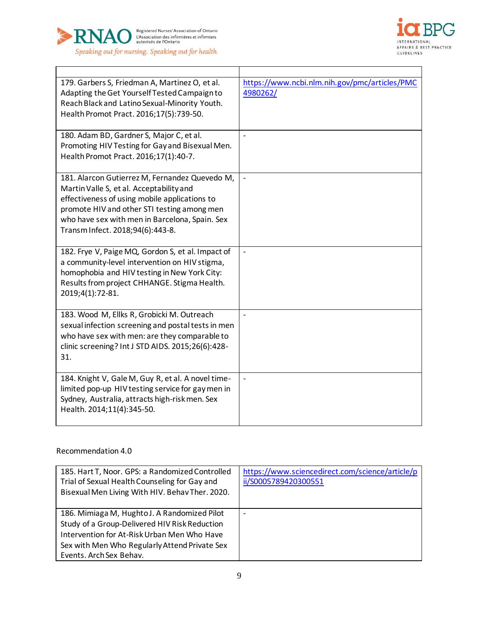



| 179. Garbers S, Friedman A, Martinez O, et al.<br>Adapting the Get Yourself Tested Campaign to<br>Reach Black and Latino Sexual-Minority Youth.<br>Health Promot Pract. 2016;17(5):739-50.                                                                                       | https://www.ncbi.nlm.nih.gov/pmc/articles/PMC<br>4980262/ |
|----------------------------------------------------------------------------------------------------------------------------------------------------------------------------------------------------------------------------------------------------------------------------------|-----------------------------------------------------------|
| 180. Adam BD, Gardner S, Major C, et al.<br>Promoting HIV Testing for Gay and Bisexual Men.<br>Health Promot Pract. 2016;17(1):40-7.                                                                                                                                             | $\overline{a}$                                            |
| 181. Alarcon Gutierrez M, Fernandez Quevedo M,<br>Martin Valle S, et al. Acceptability and<br>effectiveness of using mobile applications to<br>promote HIV and other STI testing among men<br>who have sex with men in Barcelona, Spain. Sex<br>Transm Infect. 2018;94(6):443-8. | $\blacksquare$                                            |
| 182. Frye V, Paige MQ, Gordon S, et al. Impact of<br>a community-level intervention on HIV stigma,<br>homophobia and HIV testing in New York City:<br>Results from project CHHANGE. Stigma Health.<br>2019;4(1):72-81.                                                           | $\overline{a}$                                            |
| 183. Wood M, Ellks R, Grobicki M. Outreach<br>sexual infection screening and postal tests in men<br>who have sex with men: are they comparable to<br>clinic screening? Int J STD AIDS. 2015;26(6):428-<br>31.                                                                    |                                                           |
| 184. Knight V, Gale M, Guy R, et al. A novel time-<br>limited pop-up HIV testing service for gay men in<br>Sydney, Australia, attracts high-risk men. Sex<br>Health. 2014;11(4):345-50.                                                                                          |                                                           |

## Recommendation 4.0

| 185. Hart T, Noor. GPS: a Randomized Controlled<br>Trial of Sexual Health Counseling for Gay and<br>Bisexual Men Living With HIV. Behav Ther. 2020. | https://www.sciencedirect.com/science/article/p<br>ii/S0005789420300551 |
|-----------------------------------------------------------------------------------------------------------------------------------------------------|-------------------------------------------------------------------------|
| 186. Mimiaga M, Hughto J. A Randomized Pilot<br>Study of a Group-Delivered HIV Risk Reduction                                                       |                                                                         |
| Intervention for At-Risk Urban Men Who Have                                                                                                         |                                                                         |
| Sex with Men Who Regularly Attend Private Sex                                                                                                       |                                                                         |
| Events. Arch Sex Behav.                                                                                                                             |                                                                         |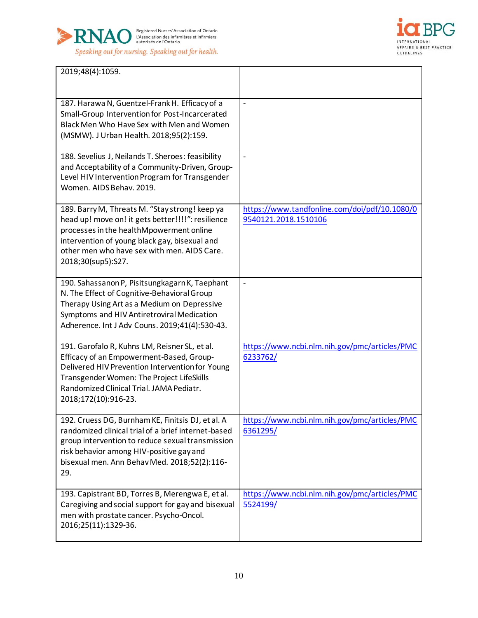



j.

| 2019;48(4):1059.                                                                                                                                                                                                                                                      |                                                                       |
|-----------------------------------------------------------------------------------------------------------------------------------------------------------------------------------------------------------------------------------------------------------------------|-----------------------------------------------------------------------|
| 187. Harawa N, Guentzel-Frank H. Efficacy of a<br>Small-Group Intervention for Post-Incarcerated<br>Black Men Who Have Sex with Men and Women<br>(MSMW). J Urban Health. 2018;95(2):159.                                                                              | $\overline{\phantom{a}}$                                              |
| 188. Sevelius J, Neilands T. Sheroes: feasibility<br>and Acceptability of a Community-Driven, Group-<br>Level HIV Intervention Program for Transgender<br>Women. AIDS Behav. 2019.                                                                                    | $\overline{\phantom{a}}$                                              |
| 189. Barry M, Threats M. "Stay strong! keep ya<br>head up! move on! it gets better!!!!": resilience<br>processes in the healthMpowerment online<br>intervention of young black gay, bisexual and<br>other men who have sex with men. AIDS Care.<br>2018;30(sup5):S27. | https://www.tandfonline.com/doi/pdf/10.1080/0<br>9540121.2018.1510106 |
| 190. Sahassanon P, Pisitsungkagarn K, Taephant<br>N. The Effect of Cognitive-Behavioral Group<br>Therapy Using Art as a Medium on Depressive<br>Symptoms and HIV Antiretroviral Medication<br>Adherence. Int J Adv Couns. 2019;41(4):530-43.                          | $\blacksquare$                                                        |
| 191. Garofalo R, Kuhns LM, Reisner SL, et al.<br>Efficacy of an Empowerment-Based, Group-<br>Delivered HIV Prevention Intervention for Young<br>Transgender Women: The Project LifeSkills<br>Randomized Clinical Trial. JAMA Pediatr.<br>2018;172(10):916-23.         | https://www.ncbi.nlm.nih.gov/pmc/articles/PMC<br>6233762/             |
| 192. Cruess DG, Burnham KE, Finitsis DJ, et al. A<br>randomized clinical trial of a brief internet-based<br>group intervention to reduce sexual transmission<br>risk behavior among HIV-positive gay and<br>bisexual men. Ann Behav Med. 2018;52(2):116-<br>29.       | https://www.ncbi.nlm.nih.gov/pmc/articles/PMC<br>6361295/             |
| 193. Capistrant BD, Torres B, Merengwa E, et al.<br>Caregiving and social support for gay and bisexual<br>men with prostate cancer. Psycho-Oncol.<br>2016;25(11):1329-36.                                                                                             | https://www.ncbi.nlm.nih.gov/pmc/articles/PMC<br>5524199/             |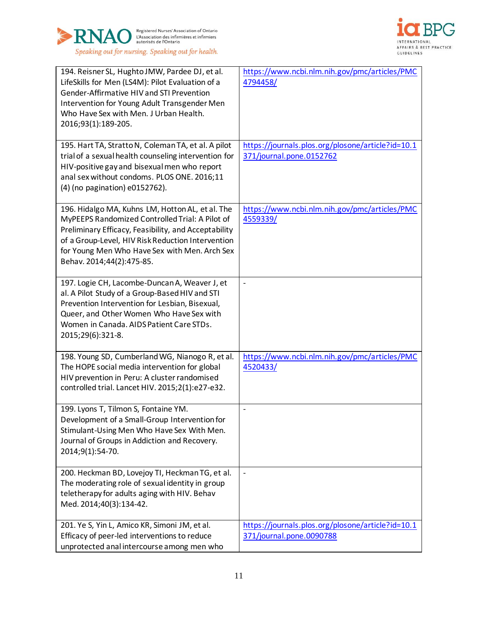



| 194. Reisner SL, Hughto JMW, Pardee DJ, et al.<br>LifeSkills for Men (LS4M): Pilot Evaluation of a<br>Gender-Affirmative HIV and STI Prevention<br>Intervention for Young Adult Transgender Men<br>Who Have Sex with Men. J Urban Health.<br>2016;93(1):189-205.<br>195. Hart TA, Stratto N, Coleman TA, et al. A pilot<br>trial of a sexual health counseling intervention for | https://www.ncbi.nlm.nih.gov/pmc/articles/PMC<br>4794458/<br>https://journals.plos.org/plosone/article?id=10.1<br>371/journal.pone.0152762 |
|---------------------------------------------------------------------------------------------------------------------------------------------------------------------------------------------------------------------------------------------------------------------------------------------------------------------------------------------------------------------------------|--------------------------------------------------------------------------------------------------------------------------------------------|
| HIV-positive gay and bisexual men who report<br>anal sex without condoms. PLOS ONE. 2016;11<br>(4) (no pagination) e0152762).                                                                                                                                                                                                                                                   |                                                                                                                                            |
| 196. Hidalgo MA, Kuhns LM, Hotton AL, et al. The<br>MyPEEPS Randomized Controlled Trial: A Pilot of<br>Preliminary Efficacy, Feasibility, and Acceptability<br>of a Group-Level, HIV Risk Reduction Intervention<br>for Young Men Who Have Sex with Men. Arch Sex<br>Behav. 2014;44(2):475-85.                                                                                  | https://www.ncbi.nlm.nih.gov/pmc/articles/PMC<br>4559339/                                                                                  |
| 197. Logie CH, Lacombe-Duncan A, Weaver J, et<br>al. A Pilot Study of a Group-Based HIV and STI<br>Prevention Intervention for Lesbian, Bisexual,<br>Queer, and Other Women Who Have Sex with<br>Women in Canada. AIDS Patient Care STDs.<br>2015;29(6):321-8.                                                                                                                  | $\overline{a}$                                                                                                                             |
| 198. Young SD, Cumberland WG, Nianogo R, et al.<br>The HOPE social media intervention for global<br>HIV prevention in Peru: A cluster randomised<br>controlled trial. Lancet HIV. 2015;2(1):e27-e32.                                                                                                                                                                            | https://www.ncbi.nlm.nih.gov/pmc/articles/PMC<br>4520433/                                                                                  |
| 199. Lyons T, Tilmon S, Fontaine YM.<br>Development of a Small-Group Intervention for<br>Stimulant-Using Men Who Have Sex With Men.<br>Journal of Groups in Addiction and Recovery.<br>2014;9(1):54-70.                                                                                                                                                                         | $\overline{\phantom{a}}$                                                                                                                   |
| 200. Heckman BD, Lovejoy TI, Heckman TG, et al.<br>The moderating role of sexual identity in group<br>teletherapy for adults aging with HIV. Behav<br>Med. 2014;40(3):134-42.                                                                                                                                                                                                   | $\overline{\phantom{a}}$                                                                                                                   |
| 201. Ye S, Yin L, Amico KR, Simoni JM, et al.<br>Efficacy of peer-led interventions to reduce<br>unprotected anal intercourse among men who                                                                                                                                                                                                                                     | https://journals.plos.org/plosone/article?id=10.1<br>371/journal.pone.0090788                                                              |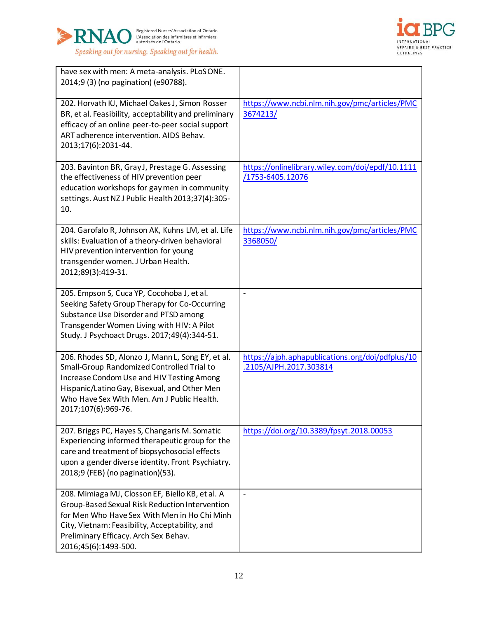



| have sex with men: A meta-analysis. PLoSONE.<br>2014;9 (3) (no pagination) (e90788).                                                                                                                                                                                  |                                                                            |
|-----------------------------------------------------------------------------------------------------------------------------------------------------------------------------------------------------------------------------------------------------------------------|----------------------------------------------------------------------------|
| 202. Horvath KJ, Michael Oakes J, Simon Rosser<br>BR, et al. Feasibility, acceptability and preliminary<br>efficacy of an online peer-to-peer social support<br>ART adherence intervention. AIDS Behav.<br>2013;17(6):2031-44.                                        | https://www.ncbi.nlm.nih.gov/pmc/articles/PMC<br>3674213/                  |
| 203. Bavinton BR, Gray J, Prestage G. Assessing<br>the effectiveness of HIV prevention peer<br>education workshops for gay men in community<br>settings. Aust NZ J Public Health 2013;37(4):305-<br>10.                                                               | https://onlinelibrary.wiley.com/doi/epdf/10.1111<br>/1753-6405.12076       |
| 204. Garofalo R, Johnson AK, Kuhns LM, et al. Life<br>skills: Evaluation of a theory-driven behavioral<br>HIV prevention intervention for young<br>transgender women. J Urban Health.<br>2012;89(3):419-31.                                                           | https://www.ncbi.nlm.nih.gov/pmc/articles/PMC<br>3368050/                  |
| 205. Empson S, Cuca YP, Cocohoba J, et al.<br>Seeking Safety Group Therapy for Co-Occurring<br>Substance Use Disorder and PTSD among<br>Transgender Women Living with HIV: A Pilot<br>Study. J Psychoact Drugs. 2017;49(4):344-51.                                    | $\overline{a}$                                                             |
| 206. Rhodes SD, Alonzo J, Mann L, Song EY, et al.<br>Small-Group Randomized Controlled Trial to<br>Increase Condom Use and HIV Testing Among<br>Hispanic/Latino Gay, Bisexual, and Other Men<br>Who Have Sex With Men. Am J Public Health.<br>2017;107(6):969-76.     | https://ajph.aphapublications.org/doi/pdfplus/10<br>.2105/AJPH.2017.303814 |
| 207. Briggs PC, Hayes S, Changaris M. Somatic<br>Experiencing informed therapeutic group for the<br>care and treatment of biopsychosocial effects<br>upon a gender diverse identity. Front Psychiatry.<br>2018;9 (FEB) (no pagination)(53).                           | https://doi.org/10.3389/fpsyt.2018.00053                                   |
| 208. Mimiaga MJ, Closson EF, Biello KB, et al. A<br>Group-Based Sexual Risk Reduction Intervention<br>for Men Who Have Sex With Men in Ho Chi Minh<br>City, Vietnam: Feasibility, Acceptability, and<br>Preliminary Efficacy. Arch Sex Behav.<br>2016;45(6):1493-500. | $\overline{a}$                                                             |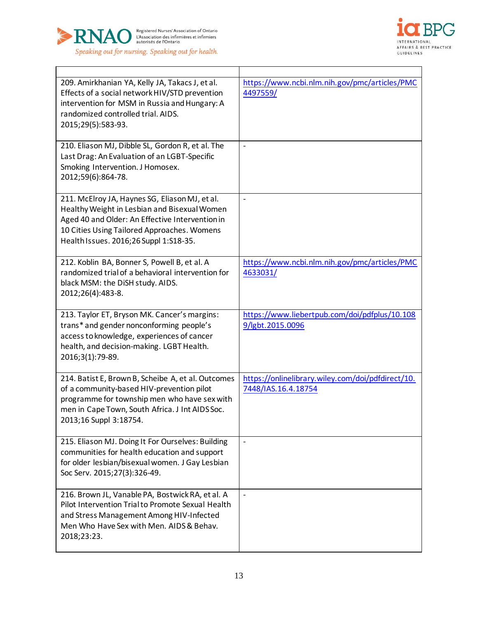



| 209. Amirkhanian YA, Kelly JA, Takacs J, et al.<br>Effects of a social network HIV/STD prevention<br>intervention for MSM in Russia and Hungary: A<br>randomized controlled trial. AIDS.<br>2015;29(5):583-93.                             | https://www.ncbi.nlm.nih.gov/pmc/articles/PMC<br>4497559/                |
|--------------------------------------------------------------------------------------------------------------------------------------------------------------------------------------------------------------------------------------------|--------------------------------------------------------------------------|
| 210. Eliason MJ, Dibble SL, Gordon R, et al. The<br>Last Drag: An Evaluation of an LGBT-Specific<br>Smoking Intervention. J Homosex.<br>2012;59(6):864-78.                                                                                 |                                                                          |
| 211. McElroy JA, Haynes SG, Eliason MJ, et al.<br>Healthy Weight in Lesbian and Bisexual Women<br>Aged 40 and Older: An Effective Intervention in<br>10 Cities Using Tailored Approaches. Womens<br>Health Issues. 2016;26 Suppl 1:S18-35. | $\qquad \qquad \Box$                                                     |
| 212. Koblin BA, Bonner S, Powell B, et al. A<br>randomized trial of a behavioral intervention for<br>black MSM: the DiSH study. AIDS.<br>2012;26(4):483-8.                                                                                 | https://www.ncbi.nlm.nih.gov/pmc/articles/PMC<br>4633031/                |
| 213. Taylor ET, Bryson MK. Cancer's margins:<br>trans* and gender nonconforming people's<br>access to knowledge, experiences of cancer<br>health, and decision-making. LGBT Health.<br>2016;3(1):79-89.                                    | https://www.liebertpub.com/doi/pdfplus/10.108<br>9/lgbt.2015.0096        |
| 214. Batist E, Brown B, Scheibe A, et al. Outcomes<br>of a community-based HIV-prevention pilot<br>programme for township men who have sex with<br>men in Cape Town, South Africa. J Int AIDS Soc.<br>2013;16 Suppl 3:18754.               | https://onlinelibrary.wiley.com/doi/pdfdirect/10.<br>7448/IAS.16.4.18754 |
| 215. Eliason MJ. Doing It For Ourselves: Building<br>communities for health education and support<br>for older lesbian/bisexual women. J Gay Lesbian<br>Soc Serv. 2015;27(3):326-49.                                                       | $\blacksquare$                                                           |
| 216. Brown JL, Vanable PA, Bostwick RA, et al. A<br>Pilot Intervention Trial to Promote Sexual Health<br>and Stress Management Among HIV-Infected<br>Men Who Have Sex with Men. AIDS & Behav.<br>2018;23:23.                               | $\overline{\phantom{a}}$                                                 |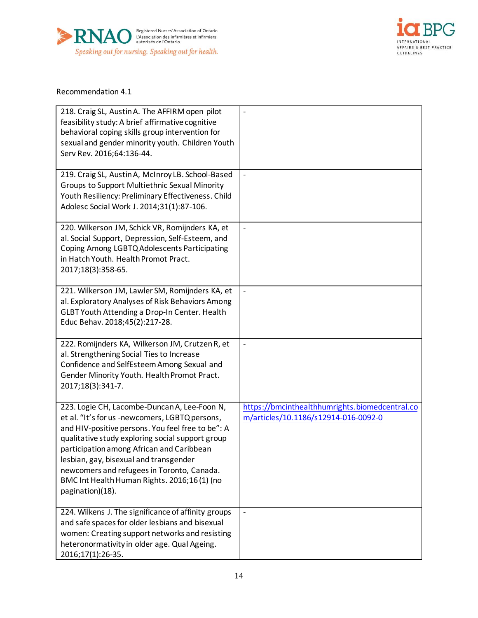



#### Recommendation 4.1

| 218. Craig SL, Austin A. The AFFIRM open pilot<br>feasibility study: A brief affirmative cognitive<br>behavioral coping skills group intervention for<br>sexual and gender minority youth. Children Youth<br>Serv Rev. 2016;64:136-44.                                                                                                                                                                          | $\overline{a}$                                                                         |
|-----------------------------------------------------------------------------------------------------------------------------------------------------------------------------------------------------------------------------------------------------------------------------------------------------------------------------------------------------------------------------------------------------------------|----------------------------------------------------------------------------------------|
| 219. Craig SL, Austin A, McInroy LB. School-Based<br>Groups to Support Multiethnic Sexual Minority<br>Youth Resiliency: Preliminary Effectiveness. Child<br>Adolesc Social Work J. 2014;31(1):87-106.                                                                                                                                                                                                           | $\overline{\phantom{a}}$                                                               |
| 220. Wilkerson JM, Schick VR, Romijnders KA, et<br>al. Social Support, Depression, Self-Esteem, and<br>Coping Among LGBTQ Adolescents Participating<br>in Hatch Youth. Health Promot Pract.<br>2017;18(3):358-65.                                                                                                                                                                                               | $\frac{1}{2}$                                                                          |
| 221. Wilkerson JM, Lawler SM, Romijnders KA, et<br>al. Exploratory Analyses of Risk Behaviors Among<br>GLBT Youth Attending a Drop-In Center. Health<br>Educ Behav. 2018;45(2):217-28.                                                                                                                                                                                                                          | $\blacksquare$                                                                         |
| 222. Romijnders KA, Wilkerson JM, Crutzen R, et<br>al. Strengthening Social Ties to Increase<br>Confidence and SelfEsteem Among Sexual and<br>Gender Minority Youth. Health Promot Pract.<br>2017;18(3):341-7.                                                                                                                                                                                                  |                                                                                        |
| 223. Logie CH, Lacombe-Duncan A, Lee-Foon N,<br>et al. "It's for us -newcomers, LGBTQ persons,<br>and HIV-positive persons. You feel free to be": A<br>qualitative study exploring social support group<br>participation among African and Caribbean<br>lesbian, gay, bisexual and transgender<br>newcomers and refugees in Toronto, Canada.<br>BMC Int Health Human Rights. 2016;16(1) (no<br>pagination)(18). | https://bmcinthealthhumrights.biomedcentral.co<br>m/articles/10.1186/s12914-016-0092-0 |
| 224. Wilkens J. The significance of affinity groups<br>and safe spaces for older lesbians and bisexual<br>women: Creating support networks and resisting<br>heteronormativity in older age. Qual Ageing.<br>2016;17(1):26-35.                                                                                                                                                                                   | $\blacksquare$                                                                         |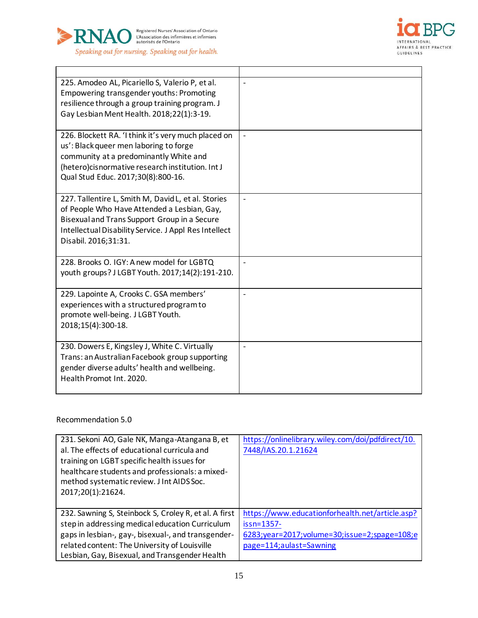



| 225. Amodeo AL, Picariello S, Valerio P, et al.<br>Empowering transgender youths: Promoting<br>resilience through a group training program. J<br>Gay Lesbian Ment Health. 2018;22(1):3-19.                                          |                          |
|-------------------------------------------------------------------------------------------------------------------------------------------------------------------------------------------------------------------------------------|--------------------------|
| 226. Blockett RA. 'I think it's very much placed on<br>us': Black queer men laboring to forge<br>community at a predominantly White and<br>(hetero)cisnormative research institution. Int J<br>Qual Stud Educ. 2017;30(8):800-16.   |                          |
| 227. Tallentire L, Smith M, David L, et al. Stories<br>of People Who Have Attended a Lesbian, Gay,<br>Bisexual and Trans Support Group in a Secure<br>Intellectual Disability Service. J Appl Res Intellect<br>Disabil. 2016;31:31. | $\overline{\phantom{a}}$ |
| 228. Brooks O. IGY: A new model for LGBTQ<br>youth groups? J LGBT Youth. 2017;14(2):191-210.                                                                                                                                        |                          |
| 229. Lapointe A, Crooks C. GSA members'<br>experiences with a structured program to<br>promote well-being. J LGBT Youth.<br>2018;15(4):300-18.                                                                                      | $\overline{a}$           |
| 230. Dowers E, Kingsley J, White C. Virtually<br>Trans: an Australian Facebook group supporting<br>gender diverse adults' health and wellbeing.<br>Health Promot Int. 2020.                                                         | $\overline{a}$           |

## Recommendation 5.0

| 231. Sekoni AO, Gale NK, Manga-Atangana B, et<br>al. The effects of educational curricula and<br>training on LGBT specific health issues for<br>healthcare students and professionals: a mixed-<br>method systematic review. J Int AIDS Soc.<br>2017;20(1):21624. | https://onlinelibrary.wiley.com/doi/pdfdirect/10.<br>7448/IAS.20.1.21624 |
|-------------------------------------------------------------------------------------------------------------------------------------------------------------------------------------------------------------------------------------------------------------------|--------------------------------------------------------------------------|
| 232. Sawning S, Steinbock S, Croley R, et al. A first                                                                                                                                                                                                             | https://www.educationforhealth.net/article.asp?                          |
| step in addressing medical education Curriculum                                                                                                                                                                                                                   | $issn=1357-$                                                             |
| gaps in lesbian-, gay-, bisexual-, and transgender-                                                                                                                                                                                                               | 6283;year=2017;volume=30;issue=2;spage=108;e                             |
| related content: The University of Louisville                                                                                                                                                                                                                     | page=114;aulast=Sawning                                                  |
| Lesbian, Gay, Bisexual, and Transgender Health                                                                                                                                                                                                                    |                                                                          |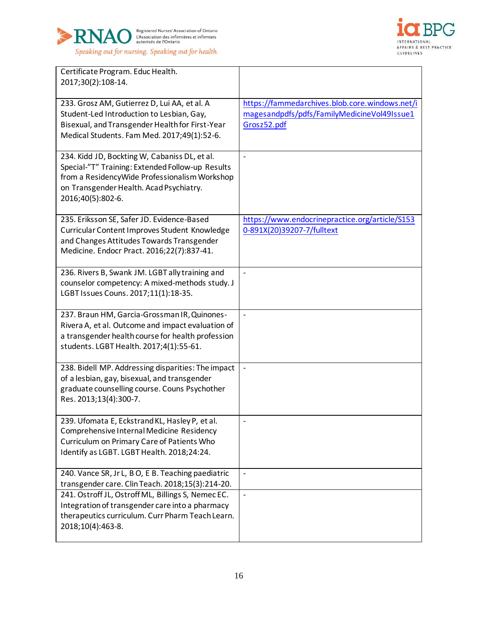



| Certificate Program. Educ Health.<br>2017;30(2):108-14.                                                                                                                                                            |                                                                                                              |
|--------------------------------------------------------------------------------------------------------------------------------------------------------------------------------------------------------------------|--------------------------------------------------------------------------------------------------------------|
| 233. Grosz AM, Gutierrez D, Lui AA, et al. A<br>Student-Led Introduction to Lesbian, Gay,<br>Bisexual, and Transgender Health for First-Year<br>Medical Students. Fam Med. 2017;49(1):52-6.                        | https://fammedarchives.blob.core.windows.net/i<br>magesandpdfs/pdfs/FamilyMedicineVol49Issue1<br>Grosz52.pdf |
| 234. Kidd JD, Bockting W, Cabaniss DL, et al.<br>Special-"T" Training: Extended Follow-up Results<br>from a ResidencyWide Professionalism Workshop<br>on Transgender Health. Acad Psychiatry.<br>2016;40(5):802-6. | $\frac{1}{2}$                                                                                                |
| 235. Eriksson SE, Safer JD. Evidence-Based<br>Curricular Content Improves Student Knowledge<br>and Changes Attitudes Towards Transgender<br>Medicine. Endocr Pract. 2016;22(7):837-41.                             | https://www.endocrinepractice.org/article/S153<br>0-891X(20)39207-7/fulltext                                 |
| 236. Rivers B, Swank JM. LGBT ally training and<br>counselor competency: A mixed-methods study. J<br>LGBT Issues Couns. 2017;11(1):18-35.                                                                          | $\overline{\phantom{a}}$                                                                                     |
| 237. Braun HM, Garcia-Grossman IR, Quinones-<br>Rivera A, et al. Outcome and impact evaluation of<br>a transgender health course for health profession<br>students. LGBT Health. 2017;4(1):55-61.                  | $\overline{\phantom{m}}$                                                                                     |
| 238. Bidell MP. Addressing disparities: The impact<br>of a lesbian, gay, bisexual, and transgender<br>graduate counselling course. Couns Psychother<br>Res. 2013;13(4):300-7.                                      | $\blacksquare$                                                                                               |
| 239. Ufomata E, Eckstrand KL, Hasley P, et al.<br>Comprehensive Internal Medicine Residency<br>Curriculum on Primary Care of Patients Who<br>Identify as LGBT. LGBT Health. 2018;24:24.                            |                                                                                                              |
| 240. Vance SR, Jr L, B O, E B. Teaching paediatric<br>transgender care. Clin Teach. 2018;15(3):214-20.                                                                                                             | $\overline{\phantom{a}}$                                                                                     |
| 241. Ostroff JL, Ostroff ML, Billings S, Nemec EC.<br>Integration of transgender care into a pharmacy<br>therapeutics curriculum. Curr Pharm Teach Learn.<br>2018;10(4):463-8.                                     | $\blacksquare$                                                                                               |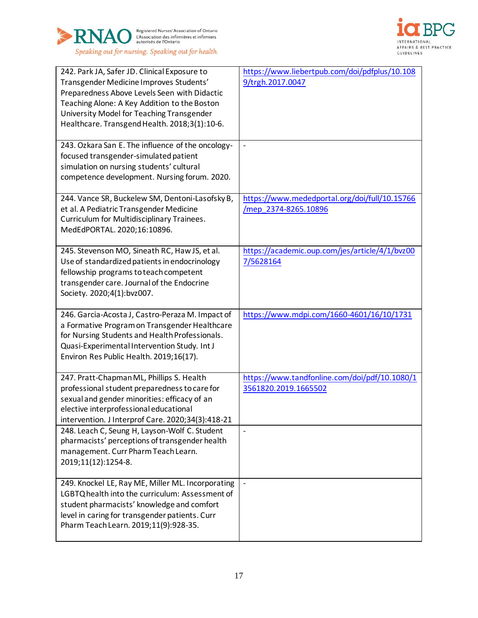



| 242. Park JA, Safer JD. Clinical Exposure to<br>Transgender Medicine Improves Students'<br>Preparedness Above Levels Seen with Didactic<br>Teaching Alone: A Key Addition to the Boston<br>University Model for Teaching Transgender<br>Healthcare. Transgend Health. 2018;3(1):10-6.<br>243. Ozkara San E. The influence of the oncology- | https://www.liebertpub.com/doi/pdfplus/10.108<br>9/trgh.2017.0047     |
|--------------------------------------------------------------------------------------------------------------------------------------------------------------------------------------------------------------------------------------------------------------------------------------------------------------------------------------------|-----------------------------------------------------------------------|
| focused transgender-simulated patient<br>simulation on nursing students' cultural<br>competence development. Nursing forum. 2020.                                                                                                                                                                                                          |                                                                       |
| 244. Vance SR, Buckelew SM, Dentoni-Lasofsky B,<br>et al. A Pediatric Transgender Medicine<br>Curriculum for Multidisciplinary Trainees.<br>MedEdPORTAL. 2020;16:10896.                                                                                                                                                                    | https://www.mededportal.org/doi/full/10.15766<br>/mep_2374-8265.10896 |
| 245. Stevenson MO, Sineath RC, Haw JS, et al.<br>Use of standardized patients in endocrinology<br>fellowship programs to teach competent<br>transgender care. Journal of the Endocrine<br>Society. 2020;4(1):bvz007.                                                                                                                       | https://academic.oup.com/jes/article/4/1/bvz00<br>7/5628164           |
| 246. Garcia-Acosta J, Castro-Peraza M. Impact of<br>a Formative Program on Transgender Healthcare<br>for Nursing Students and Health Professionals.<br>Quasi-Experimental Intervention Study. Int J<br>Environ Res Public Health. 2019;16(17).                                                                                             | https://www.mdpi.com/1660-4601/16/10/1731                             |
| 247. Pratt-Chapman ML, Phillips S. Health<br>professional student preparedness to care for<br>sexual and gender minorities: efficacy of an<br>elective interprofessional educational<br>intervention. J Interprof Care. 2020;34(3):418-21                                                                                                  | https://www.tandfonline.com/doi/pdf/10.1080/1<br>3561820.2019.1665502 |
| 248. Leach C, Seung H, Layson-Wolf C. Student<br>pharmacists' perceptions of transgender health<br>management. Curr Pharm Teach Learn.<br>2019;11(12):1254-8.                                                                                                                                                                              | $\blacksquare$                                                        |
| 249. Knockel LE, Ray ME, Miller ML. Incorporating<br>LGBTQ health into the curriculum: Assessment of<br>student pharmacists' knowledge and comfort<br>level in caring for transgender patients. Curr<br>Pharm Teach Learn. 2019;11(9):928-35.                                                                                              | $\overline{\phantom{a}}$                                              |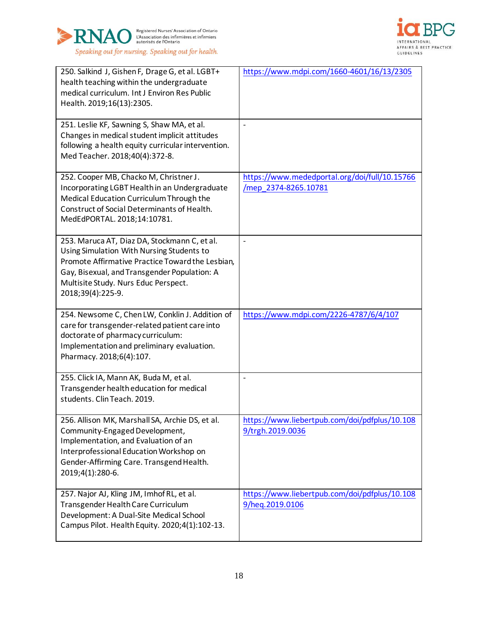



| 250. Salkind J, Gishen F, Drage G, et al. LGBT+<br>health teaching within the undergraduate<br>medical curriculum. Int J Environ Res Public<br>Health. 2019;16(13):2305.                                                                                   | https://www.mdpi.com/1660-4601/16/13/2305                             |
|------------------------------------------------------------------------------------------------------------------------------------------------------------------------------------------------------------------------------------------------------------|-----------------------------------------------------------------------|
| 251. Leslie KF, Sawning S, Shaw MA, et al.<br>Changes in medical student implicit attitudes<br>following a health equity curricular intervention.<br>Med Teacher. 2018;40(4):372-8.                                                                        | $\overline{a}$                                                        |
| 252. Cooper MB, Chacko M, Christner J.<br>Incorporating LGBT Health in an Undergraduate<br>Medical Education Curriculum Through the<br>Construct of Social Determinants of Health.<br>MedEdPORTAL. 2018;14:10781.                                          | https://www.mededportal.org/doi/full/10.15766<br>/mep_2374-8265.10781 |
| 253. Maruca AT, Diaz DA, Stockmann C, et al.<br>Using Simulation With Nursing Students to<br>Promote Affirmative Practice Toward the Lesbian,<br>Gay, Bisexual, and Transgender Population: A<br>Multisite Study. Nurs Educ Perspect.<br>2018;39(4):225-9. | $\qquad \qquad \blacksquare$                                          |
| 254. Newsome C, Chen LW, Conklin J. Addition of<br>care for transgender-related patient care into<br>doctorate of pharmacy curriculum:<br>Implementation and preliminary evaluation.<br>Pharmacy. 2018;6(4):107.                                           | https://www.mdpi.com/2226-4787/6/4/107                                |
| 255. Click IA, Mann AK, Buda M, et al.<br>Transgender health education for medical<br>students. Clin Teach. 2019.                                                                                                                                          | $\overline{a}$                                                        |
| 256. Allison MK, Marshall SA, Archie DS, et al.<br>Community-Engaged Development,<br>Implementation, and Evaluation of an<br>Interprofessional Education Workshop on<br>Gender-Affirming Care. Transgend Health.<br>2019;4(1):280-6.                       | https://www.liebertpub.com/doi/pdfplus/10.108<br>9/trgh.2019.0036     |
| 257. Najor AJ, Kling JM, Imhof RL, et al.<br>Transgender Health Care Curriculum<br>Development: A Dual-Site Medical School<br>Campus Pilot. Health Equity. 2020;4(1):102-13.                                                                               | https://www.liebertpub.com/doi/pdfplus/10.108<br>9/heq.2019.0106      |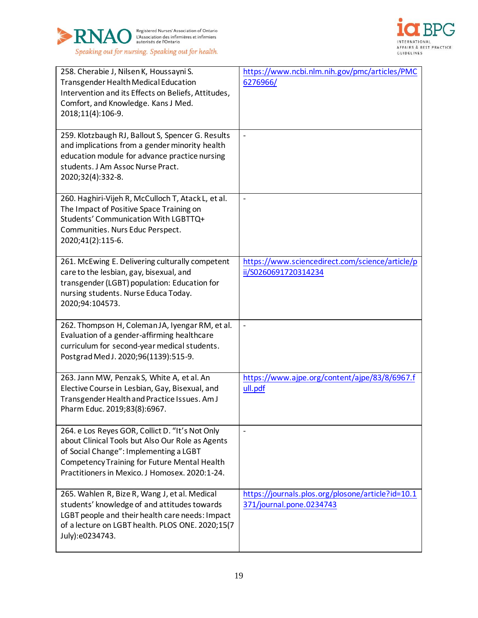



| 258. Cherabie J, Nilsen K, Houssayni S.<br><b>Transgender Health Medical Education</b><br>Intervention and its Effects on Beliefs, Attitudes,<br>Comfort, and Knowledge. Kans J Med.<br>2018;11(4):106-9.                                              | https://www.ncbi.nlm.nih.gov/pmc/articles/PMC<br>6276966/                     |
|--------------------------------------------------------------------------------------------------------------------------------------------------------------------------------------------------------------------------------------------------------|-------------------------------------------------------------------------------|
| 259. Klotzbaugh RJ, Ballout S, Spencer G. Results<br>and implications from a gender minority health<br>education module for advance practice nursing<br>students. J Am Assoc Nurse Pract.<br>2020;32(4):332-8.                                         | $\frac{1}{2}$                                                                 |
| 260. Haghiri-Vijeh R, McCulloch T, Atack L, et al.<br>The Impact of Positive Space Training on<br>Students' Communication With LGBTTQ+<br>Communities. Nurs Educ Perspect.<br>2020;41(2):115-6.                                                        | $\frac{1}{2}$                                                                 |
| 261. McEwing E. Delivering culturally competent<br>care to the lesbian, gay, bisexual, and<br>transgender (LGBT) population: Education for<br>nursing students. Nurse Educa Today.<br>2020;94:104573.                                                  | https://www.sciencedirect.com/science/article/p<br>ii/S0260691720314234       |
| 262. Thompson H, Coleman JA, Iyengar RM, et al.<br>Evaluation of a gender-affirming healthcare<br>curriculum for second-year medical students.<br>Postgrad Med J. 2020;96(1139):515-9.                                                                 | $\overline{a}$                                                                |
| 263. Jann MW, Penzak S, White A, et al. An<br>Elective Course in Lesbian, Gay, Bisexual, and<br>Transgender Health and Practice Issues. Am J<br>Pharm Educ. 2019;83(8):6967.                                                                           | https://www.ajpe.org/content/ajpe/83/8/6967.f<br>ull.pdf                      |
| 264. e Los Reyes GOR, Collict D. "It's Not Only<br>about Clinical Tools but Also Our Role as Agents<br>of Social Change": Implementing a LGBT<br><b>Competency Training for Future Mental Health</b><br>Practitioners in Mexico. J Homosex. 2020:1-24. | $\overline{a}$                                                                |
| 265. Wahlen R, Bize R, Wang J, et al. Medical<br>students' knowledge of and attitudes towards<br>LGBT people and their health care needs: Impact<br>of a lecture on LGBT health. PLOS ONE. 2020;15(7<br>July):e0234743.                                | https://journals.plos.org/plosone/article?id=10.1<br>371/journal.pone.0234743 |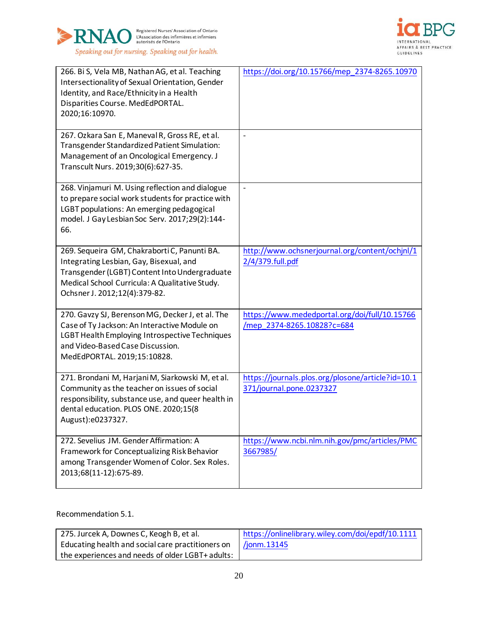



| 266. Bi S, Vela MB, Nathan AG, et al. Teaching<br>Intersectionality of Sexual Orientation, Gender<br>Identity, and Race/Ethnicity in a Health<br>Disparities Course. MedEdPORTAL.<br>2020;16:10970.                         | https://doi.org/10.15766/mep_2374-8265.10970                                  |
|-----------------------------------------------------------------------------------------------------------------------------------------------------------------------------------------------------------------------------|-------------------------------------------------------------------------------|
| 267. Ozkara San E, Maneval R, Gross RE, et al.<br>Transgender Standardized Patient Simulation:<br>Management of an Oncological Emergency. J<br>Transcult Nurs. 2019;30(6):627-35.                                           | $\overline{a}$                                                                |
| 268. Vinjamuri M. Using reflection and dialogue<br>to prepare social work students for practice with<br>LGBT populations: An emerging pedagogical<br>model. J Gay Lesbian Soc Serv. 2017;29(2):144-<br>66.                  |                                                                               |
| 269. Sequeira GM, Chakraborti C, Panunti BA.<br>Integrating Lesbian, Gay, Bisexual, and<br>Transgender (LGBT) Content Into Undergraduate<br>Medical School Curricula: A Qualitative Study.<br>Ochsner J. 2012;12(4):379-82. | http://www.ochsnerjournal.org/content/ochjnl/1<br>2/4/379.full.pdf            |
| 270. Gavzy SJ, Berenson MG, Decker J, et al. The<br>Case of Ty Jackson: An Interactive Module on<br>LGBT Health Employing Introspective Techniques<br>and Video-Based Case Discussion.<br>MedEdPORTAL. 2019;15:10828.       | https://www.mededportal.org/doi/full/10.15766<br>/mep_2374-8265.10828?c=684   |
| 271. Brondani M, Harjani M, Siarkowski M, et al.<br>Community as the teacher on issues of social<br>responsibility, substance use, and queer health in<br>dental education. PLOS ONE. 2020;15(8<br>August):e0237327.        | https://journals.plos.org/plosone/article?id=10.1<br>371/journal.pone.0237327 |
| 272. Sevelius JM. Gender Affirmation: A<br>Framework for Conceptualizing Risk Behavior<br>among Transgender Women of Color. Sex Roles.<br>2013;68(11-12):675-89.                                                            | https://www.ncbi.nlm.nih.gov/pmc/articles/PMC<br>3667985/                     |

Recommendation 5.1.

| 275. Jurcek A, Downes C, Keogh B, et al.          | https://onlinelibrary.wiley.com/doi/epdf/10.1111 |
|---------------------------------------------------|--------------------------------------------------|
| Educating health and social care practitioners on | $\frac{1}{2}$ /jonm. 13145                       |
| the experiences and needs of older LGBT+ adults:  |                                                  |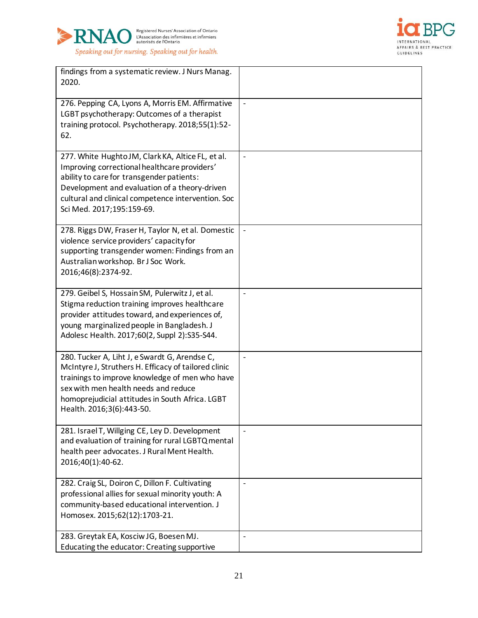



| findings from a systematic review. J Nurs Manag.<br>2020.                                                                                                                                                                                                                          |                          |
|------------------------------------------------------------------------------------------------------------------------------------------------------------------------------------------------------------------------------------------------------------------------------------|--------------------------|
| 276. Pepping CA, Lyons A, Morris EM. Affirmative<br>LGBT psychotherapy: Outcomes of a therapist<br>training protocol. Psychotherapy. 2018;55(1):52-<br>62.                                                                                                                         | $\overline{\phantom{0}}$ |
| 277. White Hughto JM, Clark KA, Altice FL, et al.<br>Improving correctional healthcare providers'<br>ability to care for transgender patients:<br>Development and evaluation of a theory-driven<br>cultural and clinical competence intervention. Soc<br>Sci Med. 2017;195:159-69. | $\qquad \qquad \Box$     |
| 278. Riggs DW, Fraser H, Taylor N, et al. Domestic<br>violence service providers' capacity for<br>supporting transgender women: Findings from an<br>Australian workshop. Br J Soc Work.<br>2016;46(8):2374-92.                                                                     |                          |
| 279. Geibel S, Hossain SM, Pulerwitz J, et al.<br>Stigma reduction training improves healthcare<br>provider attitudes toward, and experiences of,<br>young marginalized people in Bangladesh. J<br>Adolesc Health. 2017;60(2, Suppl 2):S35-S44.                                    | $\overline{a}$           |
| 280. Tucker A, Liht J, e Swardt G, Arendse C,<br>McIntyre J, Struthers H. Efficacy of tailored clinic<br>trainings to improve knowledge of men who have<br>sex with men health needs and reduce<br>homoprejudicial attitudes in South Africa. LGBT<br>Health. 2016;3(6):443-50.    | $\overline{a}$           |
| 281. Israel T, Willging CE, Ley D. Development<br>and evaluation of training for rural LGBTQ mental<br>health peer advocates. J Rural Ment Health.<br>2016;40(1):40-62.                                                                                                            | $\overline{a}$           |
| 282. Craig SL, Doiron C, Dillon F. Cultivating<br>professional allies for sexual minority youth: A<br>community-based educational intervention. J<br>Homosex. 2015;62(12):1703-21.                                                                                                 | $\overline{a}$           |
| 283. Greytak EA, Kosciw JG, Boesen MJ.<br>Educating the educator: Creating supportive                                                                                                                                                                                              | $\overline{\phantom{0}}$ |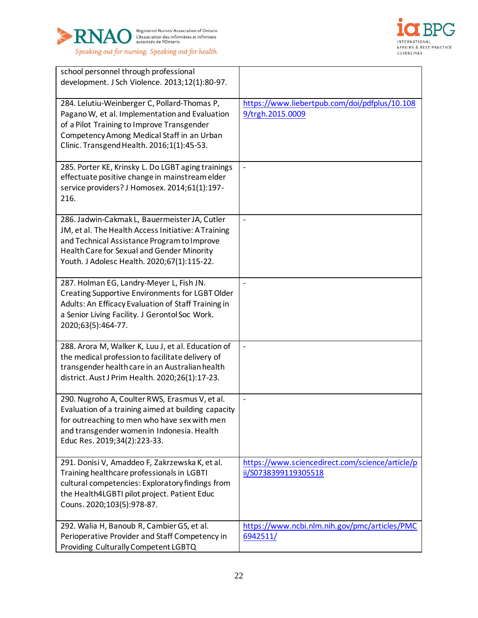



| school personnel through professional<br>development. J Sch Violence. 2013;12(1):80-97.                                                                                                                                                          |                                                                         |
|--------------------------------------------------------------------------------------------------------------------------------------------------------------------------------------------------------------------------------------------------|-------------------------------------------------------------------------|
| 284. Lelutiu-Weinberger C, Pollard-Thomas P,<br>Pagano W, et al. Implementation and Evaluation<br>of a Pilot Training to Improve Transgender<br>Competency Among Medical Staff in an Urban<br>Clinic. Transgend Health. 2016;1(1):45-53.         | https://www.liebertpub.com/doi/pdfplus/10.108<br>9/trgh.2015.0009       |
| 285. Porter KE, Krinsky L. Do LGBT aging trainings<br>effectuate positive change in mainstream elder<br>service providers? J Homosex. 2014;61(1):197-<br>216.                                                                                    | $\blacksquare$                                                          |
| 286. Jadwin-Cakmak L, Bauermeister JA, Cutler<br>JM, et al. The Health Access Initiative: A Training<br>and Technical Assistance Program to Improve<br>Health Care for Sexual and Gender Minority<br>Youth. J Adolesc Health. 2020;67(1):115-22. | $\overline{a}$                                                          |
| 287. Holman EG, Landry-Meyer L, Fish JN.<br>Creating Supportive Environments for LGBT Older<br>Adults: An Efficacy Evaluation of Staff Training in<br>a Senior Living Facility. J Gerontol Soc Work.<br>2020;63(5):464-77.                       | $\blacksquare$                                                          |
| 288. Arora M, Walker K, Luu J, et al. Education of<br>the medical profession to facilitate delivery of<br>transgender health care in an Australian health<br>district. Aust J Prim Health. 2020;26(1):17-23.                                     | $\overline{a}$                                                          |
| 290. Nugroho A, Coulter RWS, Erasmus V, et al.<br>Evaluation of a training aimed at building capacity<br>for outreaching to men who have sex with men<br>and transgender women in Indonesia. Health<br>Educ Res. 2019;34(2):223-33.              | $\blacksquare$                                                          |
| 291. Donisi V, Amaddeo F, Zakrzewska K, et al.<br>Training healthcare professionals in LGBTI<br>cultural competencies: Exploratory findings from<br>the Health4LGBTI pilot project. Patient Educ<br>Couns. 2020;103(5):978-87.                   | https://www.sciencedirect.com/science/article/p<br>ii/S0738399119305518 |
| 292. Walia H, Banoub R, Cambier GS, et al.<br>Perioperative Provider and Staff Competency in<br>Providing Culturally Competent LGBTQ                                                                                                             | https://www.ncbi.nlm.nih.gov/pmc/articles/PMC<br>6942511/               |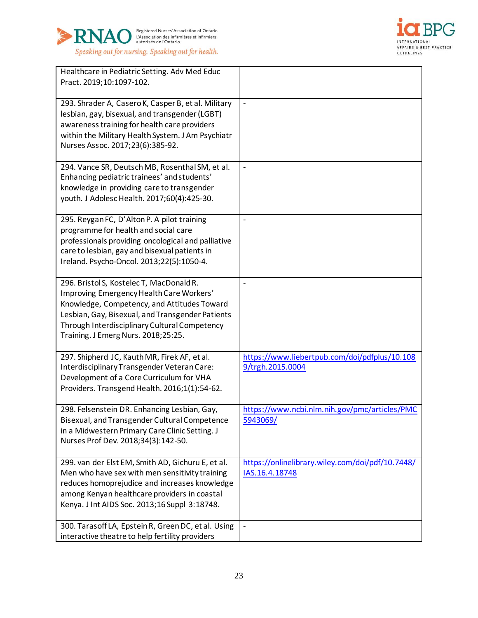



| Healthcare in Pediatric Setting. Adv Med Educ<br>Pract. 2019;10:1097-102.                                                                                                                                                                                                       |                                                                    |
|---------------------------------------------------------------------------------------------------------------------------------------------------------------------------------------------------------------------------------------------------------------------------------|--------------------------------------------------------------------|
| 293. Shrader A, Casero K, Casper B, et al. Military<br>lesbian, gay, bisexual, and transgender (LGBT)<br>awareness training for health care providers<br>within the Military Health System. J Am Psychiatr<br>Nurses Assoc. 2017;23(6):385-92.                                  |                                                                    |
| 294. Vance SR, Deutsch MB, Rosenthal SM, et al.<br>Enhancing pediatric trainees' and students'<br>knowledge in providing care to transgender<br>youth. J Adolesc Health. 2017;60(4):425-30.                                                                                     | $\overline{\phantom{m}}$                                           |
| 295. Reygan FC, D'Alton P. A pilot training<br>programme for health and social care<br>professionals providing oncological and palliative<br>care to lesbian, gay and bisexual patients in<br>Ireland. Psycho-Oncol. 2013;22(5):1050-4.                                         | $\overline{a}$                                                     |
| 296. Bristol S, Kostelec T, MacDonald R.<br>Improving Emergency Health Care Workers'<br>Knowledge, Competency, and Attitudes Toward<br>Lesbian, Gay, Bisexual, and Transgender Patients<br>Through Interdisciplinary Cultural Competency<br>Training. J Emerg Nurs. 2018;25:25. | $\overline{\phantom{m}}$                                           |
| 297. Shipherd JC, Kauth MR, Firek AF, et al.<br>Interdisciplinary Transgender Veteran Care:<br>Development of a Core Curriculum for VHA<br>Providers. Transgend Health. 2016;1(1):54-62.                                                                                        | https://www.liebertpub.com/doi/pdfplus/10.108<br>9/trgh.2015.0004  |
| 298. Felsenstein DR. Enhancing Lesbian, Gay,<br>Bisexual, and Transgender Cultural Competence<br>in a Midwestern Primary Care Clinic Setting. J<br>Nurses Prof Dev. 2018;34(3):142-50.                                                                                          | https://www.ncbi.nlm.nih.gov/pmc/articles/PMC<br>5943069/          |
| 299. van der Elst EM, Smith AD, Gichuru E, et al.<br>Men who have sex with men sensitivity training<br>reduces homoprejudice and increases knowledge<br>among Kenyan healthcare providers in coastal<br>Kenya. J Int AIDS Soc. 2013;16 Suppl 3:18748.                           | https://onlinelibrary.wiley.com/doi/pdf/10.7448/<br>IAS.16.4.18748 |
| 300. Tarasoff LA, Epstein R, Green DC, et al. Using<br>interactive theatre to help fertility providers                                                                                                                                                                          |                                                                    |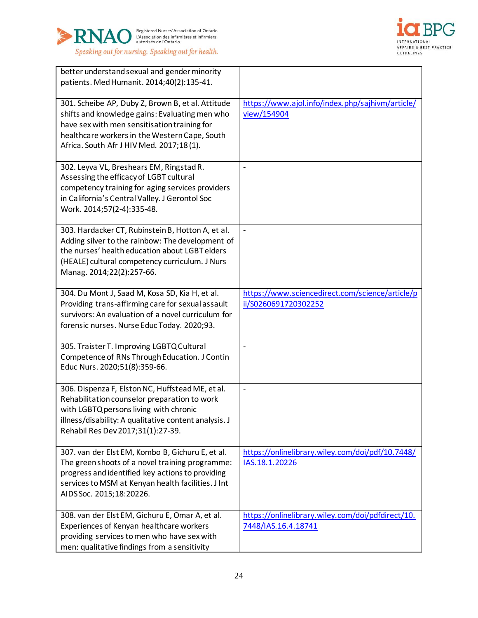



| better understand sexual and gender minority<br>patients. Med Humanit. 2014;40(2):135-41.                                                                                                                                                        |                                                                          |
|--------------------------------------------------------------------------------------------------------------------------------------------------------------------------------------------------------------------------------------------------|--------------------------------------------------------------------------|
| 301. Scheibe AP, Duby Z, Brown B, et al. Attitude<br>shifts and knowledge gains: Evaluating men who<br>have sex with men sensitisation training for<br>healthcare workers in the Western Cape, South<br>Africa. South Afr J HIV Med. 2017;18(1). | https://www.ajol.info/index.php/sajhivm/article/<br>view/154904          |
| 302. Leyva VL, Breshears EM, Ringstad R.<br>Assessing the efficacy of LGBT cultural<br>competency training for aging services providers<br>in California's Central Valley. J Gerontol Soc<br>Work. 2014;57(2-4):335-48.                          | $\overline{a}$                                                           |
| 303. Hardacker CT, Rubinstein B, Hotton A, et al.<br>Adding silver to the rainbow: The development of<br>the nurses' health education about LGBT elders<br>(HEALE) cultural competency curriculum. J Nurs<br>Manag. 2014;22(2):257-66.           | $\overline{a}$                                                           |
| 304. Du Mont J, Saad M, Kosa SD, Kia H, et al.<br>Providing trans-affirming care for sexual assault<br>survivors: An evaluation of a novel curriculum for<br>forensic nurses. Nurse Educ Today. 2020;93.                                         | https://www.sciencedirect.com/science/article/p<br>ii/S0260691720302252  |
| 305. Traister T. Improving LGBTQ Cultural<br>Competence of RNs Through Education. J Contin<br>Educ Nurs. 2020;51(8):359-66.                                                                                                                      | $\overline{a}$                                                           |
| 306. Dispenza F, Elston NC, Huffstead ME, et al.<br>Rehabilitation counselor preparation to work<br>with LGBTQ persons living with chronic<br>illness/disability: A qualitative content analysis. J<br>Rehabil Res Dev 2017;31(1):27-39.         | $\overline{a}$                                                           |
| 307. van der Elst EM, Kombo B, Gichuru E, et al.<br>The green shoots of a novel training programme:<br>progress and identified key actions to providing<br>services to MSM at Kenyan health facilities. J Int<br>AIDS Soc. 2015;18:20226.        | https://onlinelibrary.wiley.com/doi/pdf/10.7448/<br>IAS.18.1.20226       |
| 308. van der Elst EM, Gichuru E, Omar A, et al.<br>Experiences of Kenyan healthcare workers<br>providing services to men who have sex with<br>men: qualitative findings from a sensitivity                                                       | https://onlinelibrary.wiley.com/doi/pdfdirect/10.<br>7448/IAS.16.4.18741 |